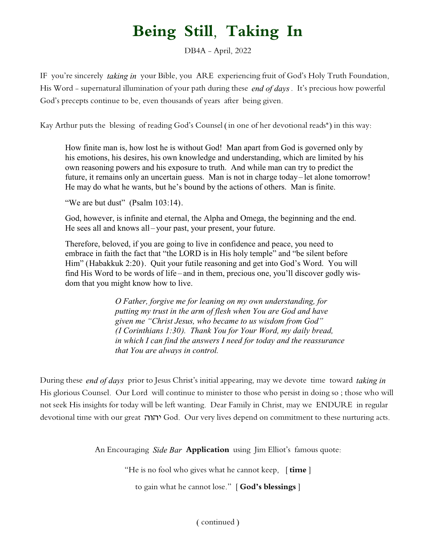## **Being Still, Taking In**

DB4A - April, 2022

IF you're sincerely *taking in* your Bible, you ARE experiencing fruit of God's Holy Truth Foundation, His Word - supernatural illumination of your path during these *end of days*. It's precious how powerful God's precepts continue to be, even thousands of years after being given.

Kay Arthur puts the blessing of reading God's Counsel (in one of her devotional reads\*) in this way:

How finite man is, how lost he is without God! Man apart from God is governed only by his emotions, his desires, his own knowledge and understanding, which are limited by his own reasoning powers and his exposure to truth. And while man can try to predict the future, it remains only an uncertain guess. Man is not in charge today– let alone tomorrow! He may do what he wants, but he's bound by the actions of others. Man is finite.

"We are but dust" (Psalm 103:14).

God, however, is infinite and eternal, the Alpha and Omega, the beginning and the end. He sees all and knows all-your past, your present, your future.

Therefore, beloved, if you are going to live in confidence and peace, you need to embrace in faith the fact that "the LORD is in His holy temple" and "be silent before Him" (Habakkuk 2:20). Quit your futile reasoning and get into God's Word. You will find His Word to be words of life – and in them, precious one, you'll discover godly wisdom that you might know how to live.

> *O Father, forgive me for leaning on my own understanding, for putting my trust in the arm of flesh when You are God and have given me "Christ Jesus, who became to us wisdom from God" (I Corinthians 1:30). Thank You for Your Word, my daily bread, in which I can find the answers I need for today and the reassurance that You are always in control.*

During these *end of days* prior to Jesus Christ's initial appearing, may we devote time toward *taking in*  His glorious Counsel. Our Lord will continue to minister to those who persist in doing so ; those who will not seek His insights for today will be left wanting. Dear Family in Christ, may we ENDURE in regular devotional time with our great יהוה God. Our very lives depend on commitment to these nurturing acts.

An Encouraging *Side Bar* **Application** using Jim Elliot's famous quote:

"He is no fool who gives what he cannot keep, [ **time** ]

to gain what he cannot lose." [ **God's blessings** ]

( continued )